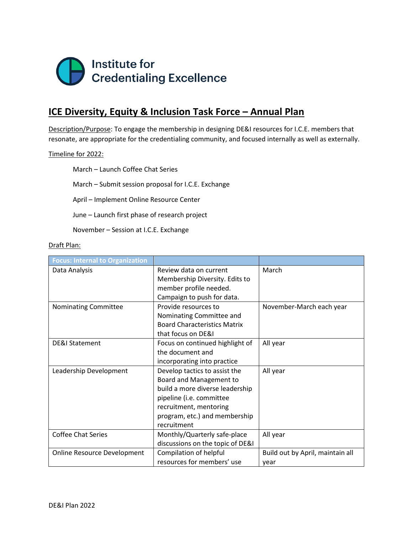

## **ICE Diversity, Equity & Inclusion Task Force – Annual Plan**

Description/Purpose: To engage the membership in designing DE&I resources for I.C.E. members that resonate, are appropriate for the credentialing community, and focused internally as well as externally.

## Timeline for 2022:

March – Launch Coffee Chat Series

March – Submit session proposal for I.C.E. Exchange

April – Implement Online Resource Center

June – Launch first phase of research project

November – Session at I.C.E. Exchange

## Draft Plan:

| <b>Focus: Internal to Organization</b> |                                     |                                  |  |
|----------------------------------------|-------------------------------------|----------------------------------|--|
| Data Analysis                          | Review data on current              | March                            |  |
|                                        | Membership Diversity. Edits to      |                                  |  |
|                                        | member profile needed.              |                                  |  |
|                                        | Campaign to push for data.          |                                  |  |
| Nominating Committee                   | Provide resources to                | November-March each year         |  |
|                                        | Nominating Committee and            |                                  |  |
|                                        | <b>Board Characteristics Matrix</b> |                                  |  |
|                                        | that focus on DE&I                  |                                  |  |
| DE&I Statement                         | Focus on continued highlight of     | All year                         |  |
|                                        | the document and                    |                                  |  |
|                                        | incorporating into practice         |                                  |  |
| Leadership Development                 | Develop tactics to assist the       | All year                         |  |
|                                        | Board and Management to             |                                  |  |
|                                        | build a more diverse leadership     |                                  |  |
|                                        | pipeline (i.e. committee            |                                  |  |
|                                        | recruitment, mentoring              |                                  |  |
|                                        | program, etc.) and membership       |                                  |  |
|                                        | recruitment                         |                                  |  |
| <b>Coffee Chat Series</b>              | Monthly/Quarterly safe-place        | All year                         |  |
|                                        | discussions on the topic of DE&I    |                                  |  |
| Online Resource Development            | Compilation of helpful              | Build out by April, maintain all |  |
|                                        | resources for members' use          | vear                             |  |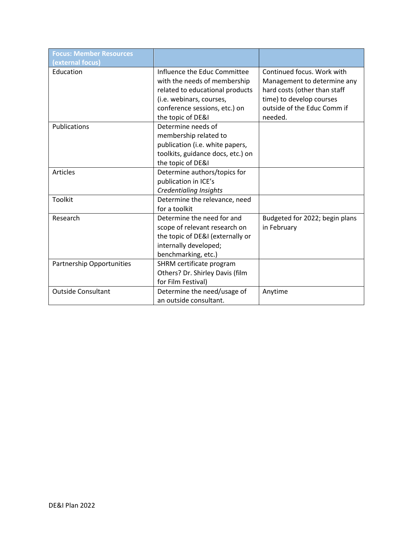| <b>Focus: Member Resources</b><br>(external focus) |                                                                                                                                                                                   |                                                                                                                                                                 |
|----------------------------------------------------|-----------------------------------------------------------------------------------------------------------------------------------------------------------------------------------|-----------------------------------------------------------------------------------------------------------------------------------------------------------------|
| Education                                          | Influence the Educ Committee<br>with the needs of membership<br>related to educational products<br>(i.e. webinars, courses,<br>conference sessions, etc.) on<br>the topic of DE&I | Continued focus. Work with<br>Management to determine any<br>hard costs (other than staff<br>time) to develop courses<br>outside of the Educ Comm if<br>needed. |
| Publications                                       | Determine needs of<br>membership related to<br>publication (i.e. white papers,<br>toolkits, guidance docs, etc.) on<br>the topic of DE&I                                          |                                                                                                                                                                 |
| <b>Articles</b>                                    | Determine authors/topics for<br>publication in ICE's<br><b>Credentialing Insights</b>                                                                                             |                                                                                                                                                                 |
| <b>Toolkit</b>                                     | Determine the relevance, need<br>for a toolkit                                                                                                                                    |                                                                                                                                                                 |
| Research                                           | Determine the need for and<br>scope of relevant research on<br>the topic of DE&I (externally or<br>internally developed;<br>benchmarking, etc.)                                   | Budgeted for 2022; begin plans<br>in February                                                                                                                   |
| <b>Partnership Opportunities</b>                   | SHRM certificate program<br>Others? Dr. Shirley Davis (film<br>for Film Festival)                                                                                                 |                                                                                                                                                                 |
| <b>Outside Consultant</b>                          | Determine the need/usage of<br>an outside consultant.                                                                                                                             | Anytime                                                                                                                                                         |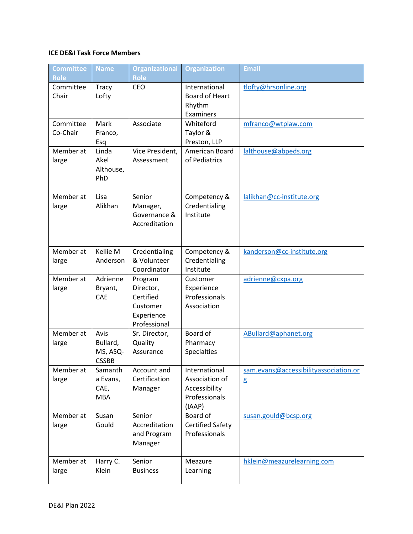## **ICE DE&I Task Force Members**

| <b>Committee</b><br>Role | <b>Name</b>                                  | <b>Organizational</b><br><b>Role</b>                                        | <b>Organization</b>                                                         | Email                                      |
|--------------------------|----------------------------------------------|-----------------------------------------------------------------------------|-----------------------------------------------------------------------------|--------------------------------------------|
| Committee<br>Chair       | Tracy<br>Lofty                               | CEO                                                                         | International<br><b>Board of Heart</b><br>Rhythm<br>Examiners               | tlofty@hrsonline.org                       |
| Committee<br>Co-Chair    | Mark<br>Franco,<br>Esq                       | Associate                                                                   | Whiteford<br>Taylor &<br>Preston, LLP                                       | mfranco@wtplaw.com                         |
| Member at<br>large       | Linda<br>Akel<br>Althouse,<br>PhD            | Vice President,<br>Assessment                                               | American Board<br>of Pediatrics                                             | lalthouse@abpeds.org                       |
| Member at<br>large       | Lisa<br>Alikhan                              | Senior<br>Manager,<br>Governance &<br>Accreditation                         | Competency &<br>Credentialing<br>Institute                                  | lalikhan@cc-institute.org                  |
| Member at<br>large       | Kellie M<br>Anderson                         | Credentialing<br>& Volunteer<br>Coordinator                                 | Competency &<br>Credentialing<br>Institute                                  | kanderson@cc-institute.org                 |
| Member at<br>large       | Adrienne<br>Bryant,<br>CAE                   | Program<br>Director,<br>Certified<br>Customer<br>Experience<br>Professional | Customer<br>Experience<br>Professionals<br>Association                      | adrienne@cxpa.org                          |
| Member at<br>large       | Avis<br>Bullard,<br>MS, ASQ-<br><b>CSSBB</b> | Sr. Director,<br>Quality<br>Assurance                                       | Board of<br>Pharmacy<br><b>Specialties</b>                                  | ABullard@aphanet.org                       |
| Member at<br>large       | Samanth<br>a Evans,<br>CAE,<br><b>MBA</b>    | Account and<br>Certification<br>Manager                                     | International<br>Association of<br>Accessibility<br>Professionals<br>(IAAP) | sam.evans@accessibilityassociation.or<br>g |
| Member at<br>large       | Susan<br>Gould                               | Senior<br>Accreditation<br>and Program<br>Manager                           | Board of<br><b>Certified Safety</b><br>Professionals                        | susan.gould@bcsp.org                       |
| Member at<br>large       | Harry C.<br>Klein                            | Senior<br><b>Business</b>                                                   | Meazure<br>Learning                                                         | hklein@meazurelearning.com                 |